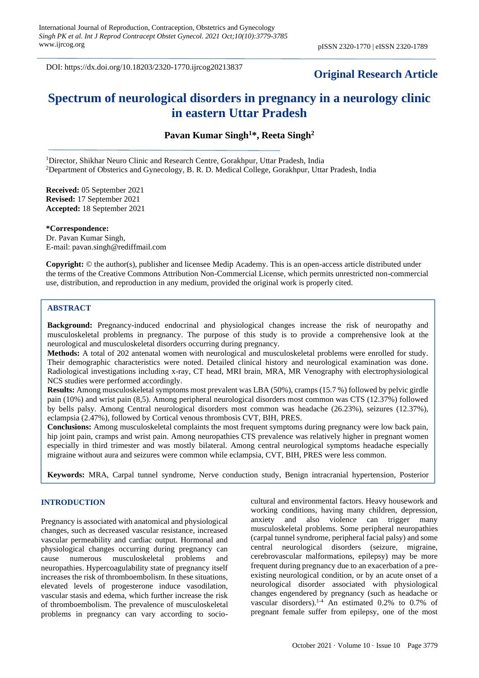DOI: https://dx.doi.org/10.18203/2320-1770.ijrcog20213837

# **Original Research Article**

# **Spectrum of neurological disorders in pregnancy in a neurology clinic in eastern Uttar Pradesh**

**Pavan Kumar Singh<sup>1</sup>\*, Reeta Singh<sup>2</sup>**

<sup>1</sup>Director, Shikhar Neuro Clinic and Research Centre, Gorakhpur, Uttar Pradesh, India <sup>2</sup>Department of Obsterics and Gynecology, B. R. D. Medical College, Gorakhpur, Uttar Pradesh, India

**Received:** 05 September 2021 **Revised:** 17 September 2021 **Accepted:** 18 September 2021

**\*Correspondence:** Dr. Pavan Kumar Singh, E-mail: pavan.singh@rediffmail.com

**Copyright:** © the author(s), publisher and licensee Medip Academy. This is an open-access article distributed under the terms of the Creative Commons Attribution Non-Commercial License, which permits unrestricted non-commercial use, distribution, and reproduction in any medium, provided the original work is properly cited.

# **ABSTRACT**

**Background:** Pregnancy-induced endocrinal and physiological changes increase the risk of neuropathy and musculoskeletal problems in pregnancy. The purpose of this study is to provide a comprehensive look at the neurological and musculoskeletal disorders occurring during pregnancy.

**Methods:** A total of 202 antenatal women with neurological and musculoskeletal problems were enrolled for study. Their demographic characteristics were noted. Detailed clinical history and neurological examination was done. Radiological investigations including x-ray, CT head, MRI brain, MRA, MR Venography with electrophysiological NCS studies were performed accordingly.

**Results:** Among musculoskeletal symptoms most prevalent was LBA (50%), cramps (15.7 %) followed by pelvic girdle pain (10%) and wrist pain (8,5). Among peripheral neurological disorders most common was CTS (12.37%) followed by bells palsy. Among Central neurological disorders most common was headache (26.23%), seizures (12.37%), eclampsia (2.47%), followed by Cortical venous thrombosis CVT, BIH, PRES.

**Conclusions:** Among musculoskeletal complaints the most frequent symptoms during pregnancy were low back pain, hip joint pain, cramps and wrist pain. Among neuropathies CTS prevalence was relatively higher in pregnant women especially in third trimester and was mostly bilateral. Among central neurological symptoms headache especially migraine without aura and seizures were common while eclampsia, CVT, BIH, PRES were less common.

**Keywords:** MRA, Carpal tunnel syndrome, Nerve conduction study, Benign intracranial hypertension, Posterior

# **INTRODUCTION**

reversible encephalopahy syndrome

Pregnancy is associated with anatomical and physiological changes, such as decreased vascular resistance, increased vascular permeability and cardiac output. Hormonal and physiological changes occurring during pregnancy can cause numerous musculoskeletal problems and neuropathies. Hypercoagulability state of pregnancy itself increases the risk of thromboembolism. In these situations, elevated levels of progesterone induce vasodilation, vascular stasis and edema, which further increase the risk of thromboembolism. The prevalence of musculoskeletal problems in pregnancy can vary according to sociocultural and environmental factors. Heavy housework and working conditions, having many children, depression, anxiety and also violence can trigger many musculoskeletal problems. Some peripheral neuropathies (carpal tunnel syndrome, peripheral facial palsy) and some central neurological disorders (seizure, migraine, cerebrovascular malformations, epilepsy) may be more frequent during pregnancy due to an exacerbation of a preexisting neurological condition, or by an acute onset of a neurological disorder associated with physiological changes engendered by pregnancy (such as headache or vascular disorders).1-4 An estimated 0.2% to 0.7% of pregnant female suffer from epilepsy, one of the most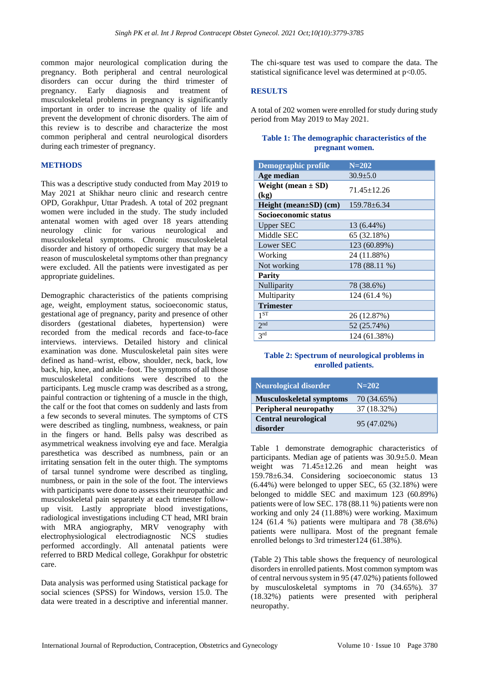common major neurological complication during the pregnancy. Both peripheral and central neurological disorders can occur during the third trimester of pregnancy. Early diagnosis and treatment of musculoskeletal problems in pregnancy is significantly important in order to increase the quality of life and prevent the development of chronic disorders. The aim of this review is to describe and characterize the most common peripheral and central neurological disorders during each trimester of pregnancy.

# **METHODS**

This was a descriptive study conducted from May 2019 to May 2021 at Shikhar neuro clinic and research centre OPD, Gorakhpur, Uttar Pradesh. A total of 202 pregnant women were included in the study. The study included antenatal women with aged over 18 years attending neurology clinic for various neurological and musculoskeletal symptoms. Chronic musculoskeletal disorder and history of orthopedic surgery that may be a reason of musculoskeletal symptoms other than pregnancy were excluded. All the patients were investigated as per appropriate guidelines.

Demographic characteristics of the patients comprising age, weight, employment status, socioeconomic status, gestational age of pregnancy, parity and presence of other disorders (gestational diabetes, hypertension) were recorded from the medical records and face-to-face interviews. interviews. Detailed history and clinical examination was done. Musculoskeletal pain sites were defined as hand–wrist, elbow, shoulder, neck, back, low back, hip, knee, and ankle–foot. The symptoms of all those musculoskeletal conditions were described to the participants. Leg muscle cramp was described as a strong, painful contraction or tightening of a muscle in the thigh, the calf or the foot that comes on suddenly and lasts from a few seconds to several minutes. The symptoms of CTS were described as tingling, numbness, weakness, or pain in the fingers or hand. Bells palsy was described as asymmetrical weakness involving eye and face. Meralgia paresthetica was described as numbness, pain or an irritating sensation felt in the outer thigh. The symptoms of tarsal tunnel syndrome were described as tingling, numbness, or pain in the sole of the foot. The interviews with participants were done to assess their neuropathic and musculoskeletal pain separately at each trimester followup visit. Lastly appropriate blood investigations, radiological investigations including CT head, MRI brain with MRA angiography, MRV venography with electrophysiological electrodiagnostic NCS studies performed accordingly. All antenatal patients were referred to BRD Medical college, Gorakhpur for obstetric care.

Data analysis was performed using Statistical package for social sciences (SPSS) for Windows, version 15.0. The data were treated in a descriptive and inferential manner. The chi-square test was used to compare the data. The statistical significance level was determined at  $p<0.05$ .

# **RESULTS**

A total of 202 women were enrolled for study during study period from May 2019 to May 2021.

# **Table 1: The demographic characteristics of the pregnant women.**

| <b>Demographic profile</b>     | $N=202$         |
|--------------------------------|-----------------|
| Age median                     | $30.9 + 5.0$    |
| Weight (mean $\pm$ SD)<br>(kg) | 71.45 ± 12.26   |
| $Height (mean \pm SD) (cm)$    | $159.78 + 6.34$ |
| Socioeconomic status           |                 |
| <b>Upper SEC</b>               | 13 (6.44%)      |
| Middle SEC                     | 65 (32.18%)     |
| Lower SEC                      | 123 (60.89%)    |
| Working                        | 24 (11.88%)     |
| Not working                    | 178 (88.11 %)   |
| <b>Parity</b>                  |                 |
| Nulliparity                    | 78 (38.6%)      |
| Multiparity                    | 124 (61.4 %)    |
| <b>Trimester</b>               |                 |
| 1 <sub>ST</sub>                | 26 (12.87%)     |
| 2 <sub>nd</sub>                | 52 (25.74%)     |
| 3 <sup>rd</sup>                | 124 (61.38%)    |

# **Table 2: Spectrum of neurological problems in enrolled patients.**

| <b>Neurological disorder</b>            | $N = 202$   |
|-----------------------------------------|-------------|
| <b>Musculoskeletal symptoms</b>         | 70 (34.65%) |
| <b>Peripheral neuropathy</b>            | 37 (18.32%) |
| <b>Central neurological</b><br>disorder | 95 (47.02%) |

Table 1 demonstrate demographic characteristics of participants. Median age of patients was 30.9±5.0. Mean weight was 71.45±12.26 and mean height was 159.78±6.34. Considering socioeconomic status 13 (6.44%) were belonged to upper SEC, 65 (32.18%) were belonged to middle SEC and maximum 123 (60.89%) patients were of low SEC. 178 (88.11 %) patients were non working and only 24 (11.88%) were working. Maximum 124 (61.4 %) patients were multipara and 78 (38.6%) patients were nullipara. Most of the pregnant female enrolled belongs to 3rd trimester124 (61.38%).

(Table 2) This table shows the frequency of neurological disorders in enrolled patients. Most common symptom was of central nervous system in 95 (47.02%) patients followed by musculoskeletal symptoms in 70 (34.65%). 37 (18.32%) patients were presented with peripheral neuropathy.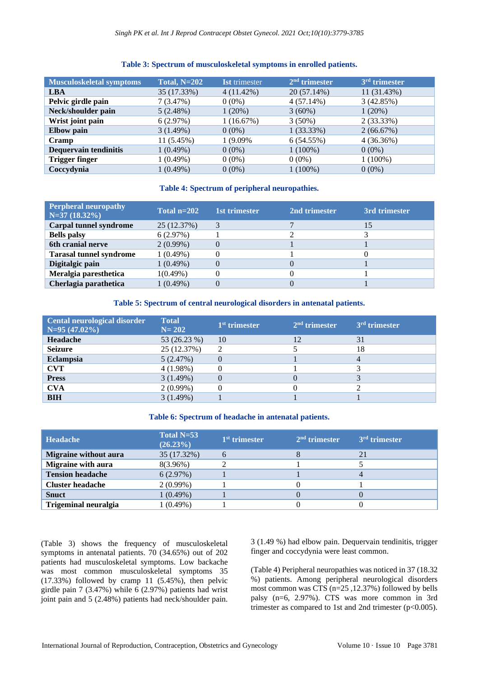# **Table 3: Spectrum of musculoskeletal symptoms in enrolled patients.**

| Musculoskeletal symptoms | <b>Total, N=202</b> | <b>Ist</b> trimester | $2nd$ trimester | 3 <sup>rd</sup> trimester |
|--------------------------|---------------------|----------------------|-----------------|---------------------------|
| <b>LBA</b>               | 35 (17.33%)         | $4(11.42\%)$         | 20 (57.14%)     | 11 (31.43%)               |
| Pelvic girdle pain       | 7(3.47%)            | $0(0\%)$             | 4(57.14%)       | 3(42.85%)                 |
| Neck/shoulder pain       | 5(2.48%)            | 1(20%)               | $3(60\%)$       | $1(20\%)$                 |
| Wrist joint pain         | 6(2.97%)            | 1(16.67%)            | $3(50\%)$       | 2(33.33%)                 |
| <b>Elbow</b> pain        | 3(1.49%)            | $0(0\%)$             | 1(33.33%)       | 2(66.67%)                 |
| Cramp                    | 11 (5.45%)          | 1 (9.09%)            | 6(54.55%)       | 4(36.36%)                 |
| Dequervain tendinitis    | $1(0.49\%)$         | $0(0\%)$             | $1(100\%)$      | $0(0\%)$                  |
| <b>Trigger finger</b>    | $1(0.49\%)$         | $0(0\%)$             | $0(0\%)$        | $1(100\%)$                |
| Coccydynia               | $1(0.49\%)$         | $0(0\%)$             | $1(100\%)$      | $0(0\%)$                  |

# **Table 4: Spectrum of peripheral neuropathies.**

| <b>Perpheral neuropathy</b><br>$N=37(18.32\%)$ | Total $n=202$ | 1st trimester | 2nd trimester | 3rd trimester |
|------------------------------------------------|---------------|---------------|---------------|---------------|
| <b>Carpal tunnel syndrome</b>                  | 25 (12.37%)   |               |               | 15            |
| <b>Bells</b> palsy                             | 6(2.97%)      |               |               |               |
| 6th cranial nerve                              | $2(0.99\%)$   |               |               |               |
| <b>Tarasal tunnel syndrome</b>                 | $1(0.49\%)$   |               |               |               |
| Digitalgic pain                                | $1(0.49\%)$   |               |               |               |
| Meralgia paresthetica                          | $1(0.49\%)$   |               |               |               |
| Cherlagia parathetica                          | $1(0.49\%)$   |               |               |               |

# **Table 5: Spectrum of central neurological disorders in antenatal patients.**

| Cental neurological disorder<br>$N=95(47.02\%)$ | <b>Total</b><br>$N = 202$ | $1st$ trimester | $2nd$ trimester | $3rd$ trimester |
|-------------------------------------------------|---------------------------|-----------------|-----------------|-----------------|
| Headache                                        | 53 (26.23 %)              | 10              | 12              | 31              |
| <b>Seizure</b>                                  | 25 (12.37%)               |                 |                 | 18              |
| <b>Eclampsia</b>                                | 5(2.47%)                  |                 |                 | 4               |
| <b>CVT</b>                                      | 4(1.98%)                  |                 |                 |                 |
| <b>Press</b>                                    | 3(1.49%)                  |                 |                 |                 |
| <b>CVA</b>                                      | $2(0.99\%)$               |                 |                 |                 |
| <b>BIH</b>                                      | 3(1.49%)                  |                 |                 |                 |

#### **Table 6: Spectrum of headache in antenatal patients.**

| <b>Headache</b>              | Total $N=53$<br>$(26.23\%)$ | $1st$ trimester | $2nd$ trimester | 3 <sup>rd</sup> trimester |
|------------------------------|-----------------------------|-----------------|-----------------|---------------------------|
| <b>Migraine without aura</b> | 35 (17.32%)                 | 6               |                 | 21                        |
| <b>Migraine with aura</b>    | 8(3.96%)                    |                 |                 |                           |
| <b>Tension headache</b>      | 6(2.97%)                    |                 |                 |                           |
| <b>Cluster headache</b>      | 2(0.99%)                    |                 |                 |                           |
| <b>Snuct</b>                 | 1(0.49%)                    |                 |                 |                           |
| <b>Trigeminal neuralgia</b>  | 1 (0.49%)                   |                 |                 |                           |

(Table 3) shows the frequency of musculoskeletal symptoms in antenatal patients. 70 (34.65%) out of 202 patients had musculoskeletal symptoms. Low backache was most common musculoskeletal symptoms 35  $(17.33%)$  followed by cramp 11  $(5.45%)$ , then pelvic girdle pain 7 (3.47%) while 6 (2.97%) patients had wrist joint pain and 5 (2.48%) patients had neck/shoulder pain. 3 (1.49 %) had elbow pain. Dequervain tendinitis, trigger finger and coccydynia were least common.

(Table 4) Peripheral neuropathies was noticed in 37 (18.32 %) patients. Among peripheral neurological disorders most common was CTS (n=25 ,12.37%) followed by bells palsy (n=6, 2.97%). CTS was more common in 3rd trimester as compared to 1st and 2nd trimester  $(p<0.005)$ .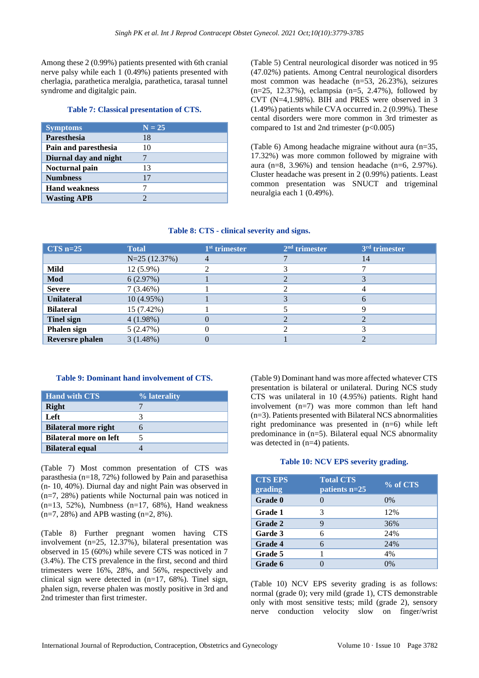Among these 2 (0.99%) patients presented with 6th cranial nerve palsy while each 1 (0.49%) patients presented with cherlagia, parathetica meralgia, parathetica, tarasal tunnel syndrome and digitalgic pain.

#### **Table 7: Classical presentation of CTS.**

| <b>Symptoms</b>       | $N = 25$ |
|-----------------------|----------|
| <b>Paresthesia</b>    | 18       |
| Pain and paresthesia  | 10       |
| Diurnal day and night |          |
| <b>Nocturnal pain</b> | 13       |
| <b>Numbness</b>       | 17       |
| <b>Hand weakness</b>  |          |
| <b>Wasting APB</b>    |          |

(Table 5) Central neurological disorder was noticed in 95 (47.02%) patients. Among Central neurological disorders most common was headache (n=53, 26.23%), seizures (n=25, 12.37%), eclampsia (n=5, 2.47%), followed by CVT (N=4,1.98%). BIH and PRES were observed in 3 (1.49%) patients while CVA occurred in. 2 (0.99%). These cental disorders were more common in 3rd trimester as compared to 1st and 2nd trimester  $(p<0.005)$ 

(Table 6) Among headache migraine without aura (n=35, 17.32%) was more common followed by migraine with aura (n=8, 3.96%) and tension headache (n=6, 2.97%). Cluster headache was present in 2 (0.99%) patients. Least common presentation was SNUCT and trigeminal neuralgia each 1 (0.49%).

#### **Table 8: CTS - clinical severity and signs.**

| $CTS$ n=25             | <b>Total</b>   | 1 <sup>st</sup> trimester | $2nd$ trimester | 3 <sup>rd</sup> trimester |
|------------------------|----------------|---------------------------|-----------------|---------------------------|
|                        | $N=25(12.37%)$ |                           |                 | 14                        |
| Mild                   | $12(5.9\%)$    |                           |                 |                           |
| Mod                    | 6(2.97%)       |                           |                 |                           |
| <b>Severe</b>          | 7(3.46%)       |                           |                 |                           |
| <b>Unilateral</b>      | 10(4.95%)      |                           |                 |                           |
| <b>Bilateral</b>       | 15 (7.42%)     |                           |                 |                           |
| <b>Tinel sign</b>      | 4(1.98%)       |                           |                 |                           |
| Phalen sign            | 5(2.47%)       |                           |                 |                           |
| <b>Reversre</b> phalen | 3(1.48%)       |                           |                 |                           |

## **Table 9: Dominant hand involvement of CTS.**

| <b>Hand with CTS</b>          | % laterality |
|-------------------------------|--------------|
| <b>Right</b>                  |              |
| Left                          |              |
| <b>Bilateral more right</b>   |              |
| <b>Bilateral more on left</b> |              |
| <b>Bilateral equal</b>        |              |

(Table 7) Most common presentation of CTS was parasthesia (n=18, 72%) followed by Pain and parasethisa (n- 10, 40%). Diurnal day and night Pain was observed in (n=7, 28%) patients while Nocturnal pain was noticed in  $(n=13, 52\%)$ , Numbness  $(n=17, 68\%)$ , Hand weakness (n=7, 28%) and APB wasting (n=2, 8%).

(Table 8) Further pregnant women having CTS involvement (n=25, 12.37%), bilateral presentation was observed in 15 (60%) while severe CTS was noticed in 7 (3.4%). The CTS prevalence in the first, second and third trimesters were 16%, 28%, and 56%, respectively and clinical sign were detected in  $(n=17, 68%)$ . Tinel sign, phalen sign, reverse phalen was mostly positive in 3rd and 2nd trimester than first trimester.

(Table 9) Dominant hand was more affected whatever CTS presentation is bilateral or unilateral. During NCS study CTS was unilateral in 10 (4.95%) patients. Right hand involvement (n=7) was more common than left hand (n=3). Patients presented with Bilateral NCS abnormalities right predominance was presented in (n=6) while left predominance in (n=5). Bilateral equal NCS abnormality was detected in (n=4) patients.

#### **Table 10: NCV EPS severity grading.**

| <b>CTS EPS</b><br>grading | <b>Total CTS</b><br>patients $n=25$ | % of CTS |
|---------------------------|-------------------------------------|----------|
| Grade 0                   |                                     | $0\%$    |
| Grade 1                   | 3                                   | 12%      |
| Grade 2                   | 9                                   | 36%      |
| Garde 3                   | 6                                   | 24%      |
| <b>Grade 4</b>            | 6                                   | 24%      |
| Grade 5                   |                                     | 4%       |
| Grade 6                   |                                     | 0%       |

(Table 10) NCV EPS severity grading is as follows: normal (grade 0); very mild (grade 1), CTS demonstrable only with most sensitive tests; mild (grade 2), sensory nerve conduction velocity slow on finger/wrist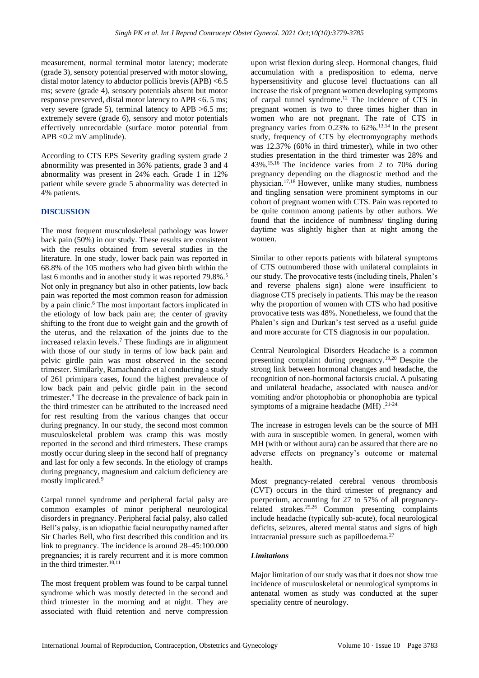measurement, normal terminal motor latency; moderate (grade 3), sensory potential preserved with motor slowing, distal motor latency to abductor pollicis brevis (APB) <6.5 ms; severe (grade 4), sensory potentials absent but motor response preserved, distal motor latency to APB <6. 5 ms; very severe (grade 5), terminal latency to APB >6.5 ms; extremely severe (grade 6), sensory and motor potentials effectively unrecordable (surface motor potential from APB <0.2 mV amplitude).

According to CTS EPS Severity grading system grade 2 abnormility was presented in 36% patients, grade 3 and 4 abnormality was present in 24% each. Grade 1 in 12% patient while severe grade 5 abnormality was detected in 4% patients.

# **DISCUSSION**

The most frequent musculoskeletal pathology was lower back pain (50%) in our study. These results are consistent with the results obtained from several studies in the literature. In one study, lower back pain was reported in 68.8% of the 105 mothers who had given birth within the last 6 months and in another study it was reported 79.8%.<sup>5</sup> Not only in pregnancy but also in other patients, low back pain was reported the most common reason for admission by a pain clinic. <sup>6</sup> The most important factors implicated in the etiology of low back pain are; the center of gravity shifting to the front due to weight gain and the growth of the uterus, and the relaxation of the joints due to the increased relaxin levels.<sup>7</sup> These findings are in alignment with those of our study in terms of low back pain and pelvic girdle pain was most observed in the second trimester. Similarly, Ramachandra et al conducting a study of 261 primipara cases, found the highest prevalence of low back pain and pelvic girdle pain in the second trimester.<sup>8</sup> The decrease in the prevalence of back pain in the third trimester can be attributed to the increased need for rest resulting from the various changes that occur during pregnancy. In our study, the second most common musculoskeletal problem was cramp this was mostly reported in the second and third trimesters. These cramps mostly occur during sleep in the second half of pregnancy and last for only a few seconds. In the etiology of cramps during pregnancy, magnesium and calcium deficiency are mostly implicated.<sup>9</sup>

Carpal tunnel syndrome and peripheral facial palsy are common examples of minor peripheral neurological disorders in pregnancy. Peripheral facial palsy, also called Bell's palsy, is an idiopathic facial neuropathy named after Sir Charles Bell, who first described this condition and its link to pregnancy. The incidence is around 28–45:100.000 pregnancies; it is rarely recurrent and it is more common in the third trimester.10,11

The most frequent problem was found to be carpal tunnel syndrome which was mostly detected in the second and third trimester in the morning and at night. They are associated with fluid retention and nerve compression upon wrist flexion during sleep. Hormonal changes, fluid accumulation with a predisposition to edema, nerve hypersensitivity and glucose level fluctuations can all increase the risk of pregnant women developing symptoms of carpal tunnel syndrome.<sup>12</sup> The incidence of CTS in pregnant women is two to three times higher than in women who are not pregnant. The rate of CTS in pregnancy varies from  $0.23\%$  to 62%.<sup>13,14</sup> In the present study, frequency of CTS by electromyography methods was 12.37% (60% in third trimester), while in two other studies presentation in the third trimester was 28% and 43%. 15,16 The incidence varies from 2 to 70% during pregnancy depending on the diagnostic method and the physician.17,18 However, unlike many studies, numbness and tingling sensation were prominent symptoms in our cohort of pregnant women with CTS. Pain was reported to be quite common among patients by other authors. We found that the incidence of numbness/ tingling during daytime was slightly higher than at night among the women.

Similar to other reports patients with bilateral symptoms of CTS outnumbered those with unilateral complaints in our study. The provocative tests (including tinels, Phalen's and reverse phalens sign) alone were insufficient to diagnose CTS precisely in patients. This may be the reason why the proportion of women with CTS who had positive provocative tests was 48%. Nonetheless, we found that the Phalen's sign and Durkan's test served as a useful guide and more accurate for CTS diagnosis in our population.

Central Neurological Disorders Headache is a common presenting complaint during pregnancy.19,20 Despite the strong link between hormonal changes and headache, the recognition of non-hormonal factorsis crucial. A pulsating and unilateral headache, associated with nausea and/or vomiting and/or photophobia or phonophobia are typical symptoms of a migraine headache (MH).<sup>21-24.</sup>

The increase in estrogen levels can be the source of MH with aura in susceptible women. In general, women with MH (with or without aura) can be assured that there are no adverse effects on pregnancy's outcome or maternal health.

Most pregnancy-related cerebral venous thrombosis (CVT) occurs in the third trimester of pregnancy and puerperium, accounting for 27 to 57% of all pregnancyrelated strokes.25,26 Common presenting complaints include headache (typically sub-acute), focal neurological deficits, seizures, altered mental status and signs of high intracranial pressure such as papilloedema.<sup>27</sup>

#### *Limitations*

Major limitation of our study was that it does not show true incidence of musculoskeletal or neurological symptoms in antenatal women as study was conducted at the super speciality centre of neurology.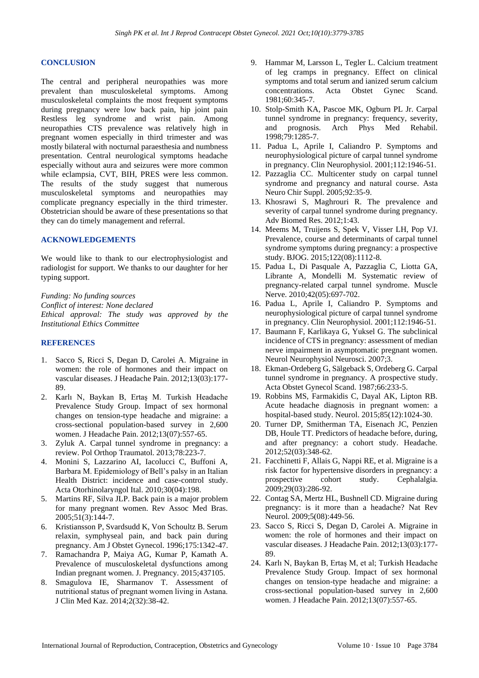# **CONCLUSION**

The central and peripheral neuropathies was more prevalent than musculoskeletal symptoms. Among musculoskeletal complaints the most frequent symptoms during pregnancy were low back pain, hip joint pain Restless leg syndrome and wrist pain. Among neuropathies CTS prevalence was relatively high in pregnant women especially in third trimester and was mostly bilateral with nocturnal paraesthesia and numbness presentation. Central neurological symptoms headache especially without aura and seizures were more common while eclampsia, CVT, BIH, PRES were less common. The results of the study suggest that numerous musculoskeletal symptoms and neuropathies may complicate pregnancy especially in the third trimester. Obstetrician should be aware of these presentations so that they can do timely management and referral.

#### **ACKNOWLEDGEMENTS**

We would like to thank to our electrophysiologist and radiologist for support. We thanks to our daughter for her typing support.

*Funding: No funding sources Conflict of interest: None declared Ethical approval: The study was approved by the Institutional Ethics Committee*

#### **REFERENCES**

- 1. Sacco S, Ricci S, Degan D, Carolei A. Migraine in women: the role of hormones and their impact on vascular diseases. J Headache Pain. 2012;13(03):177- 89.
- 2. Karlı N, Baykan B, Ertaş M. Turkish Headache Prevalence Study Group. Impact of sex hormonal changes on tension-type headache and migraine: a cross-sectional population-based survey in 2,600 women. J Headache Pain. 2012;13(07):557-65.
- 3. Zyluk A. Carpal tunnel syndrome in pregnancy: a review. Pol Orthop Traumatol. 2013;78:223-7.
- 4. Monini S, Lazzarino AI, Iacolucci C, Buffoni A, Barbara M. Epidemiology of Bell's palsy in an Italian Health District: incidence and case-control study. Acta Otorhinolaryngol Ital. 2010;30(04):198.
- 5. Martins RF, Silva JLP. Back pain is a major problem for many pregnant women. Rev Assoc Med Bras. 2005;51(3):144-7.
- 6. Kristiansson P, Svardsudd K, Von Schoultz B. Serum relaxin, symphyseal pain, and back pain during pregnancy. Am J Obstet Gynecol. 1996;175:1342-47.
- 7. Ramachandra P, Maiya AG, Kumar P, Kamath A. Prevalence of musculoskeletal dysfunctions among Indian pregnant women. J. Pregnancy. 2015;437105.
- 8. Smagulova IE, Sharmanov T. Assessment of nutritional status of pregnant women living in Аstana. J Clin Med Kaz. 2014;2(32):38-42.
- 9. Hammar M, Larsson L, Tegler L. Calcium treatment of leg cramps in pregnancy. Effect on clinical symptoms and total serum and ianized serum calcium concentrations. Acta Obstet Gynec Scand. 1981;60:345-7.
- 10. Stolp-Smith KA, Pascoe MK, Ogburn PL Jr. Carpal tunnel syndrome in pregnancy: frequency, severity, and prognosis. Arch Phys Med Rehabil. 1998;79:1285-7.
- 11. Padua L, Aprile I, Caliandro P. Symptoms and neurophysiological picture of carpal tunnel syndrome in pregnancy. Clin Neurophysiol. 2001;112:1946-51.
- 12. Pazzaglia CC. Multicenter study on carpal tunnel syndrome and pregnancy and natural course. Asta Neuro Chir Suppl. 2005;92:35-9.
- 13. Khosrawi S, Maghrouri R. The prevalence and severity of carpal tunnel syndrome during pregnancy. Adv Biomed Res. 2012;1:43.
- 14. Meems M, Truijens S, Spek V, Visser LH, Pop VJ. Prevalence, course and determinants of carpal tunnel syndrome symptoms during pregnancy: a prospective study. BJOG. 2015;122(08):1112-8.
- 15. Padua L, Di Pasquale A, Pazzaglia C, Liotta GA, Librante A, Mondelli M. Systematic review of pregnancy-related carpal tunnel syndrome. Muscle Nerve. 2010;42(05):697-702.
- 16. Padua L, Aprile I, Caliandro P. Symptoms and neurophysiological picture of carpal tunnel syndrome in pregnancy. Clin Neurophysiol. 2001;112:1946-51.
- 17. Baumann F, Karlikaya G, Yuksel G. The subclinical incidence of CTS in pregnancy: assessment of median nerve impairment in asymptomatic pregnant women. Neurol Neurophysiol Neurosci. 2007;3.
- 18. Ekman-Ordeberg G, Sälgeback S, Ordeberg G. Carpal tunnel syndrome in pregnancy. A prospective study. Acta Obstet Gynecol Scand. 1987;66:233-5.
- 19. Robbins MS, Farmakidis C, Dayal AK, Lipton RB. Acute headache diagnosis in pregnant women: a hospital-based study. Neurol. 2015;85(12):1024-30.
- 20. Turner DP, Smitherman TA, Eisenach JC, Penzien DB, Houle TT. Predictors of headache before, during, and after pregnancy: a cohort study. Headache. 2012;52(03):348-62.
- 21. Facchinetti F, Allais G, Nappi RE, et al. Migraine is a risk factor for hypertensive disorders in pregnancy: a<br>prospective cohort study. Cephalalgia. prospective cohort study. Cephalalgia. 2009;29(03):286-92.
- 22. Contag SA, Mertz HL, Bushnell CD. Migraine during pregnancy: is it more than a headache? Nat Rev Neurol. 2009;5(08):449-56.
- 23. Sacco S, Ricci S, Degan D, Carolei A. Migraine in women: the role of hormones and their impact on vascular diseases. J Headache Pain. 2012;13(03):177- 89.
- 24. Karlı N, Baykan B, Ertaş M, et al; Turkish Headache Prevalence Study Group. Impact of sex hormonal changes on tension-type headache and migraine: a cross-sectional population-based survey in 2,600 women. J Headache Pain. 2012;13(07):557-65.